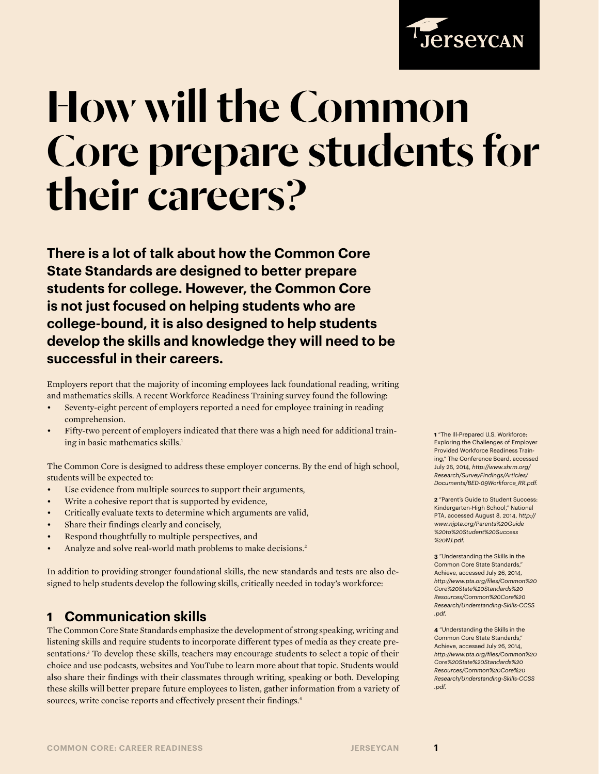

# How will the Common Core prepare students for their careers?

**There is a lot of talk about how the Common Core State Standards are designed to better prepare students for college. However, the Common Core is not just focused on helping students who are college-bound, it is also designed to help students develop the skills and knowledge they will need to be successful in their careers.** 

Employers report that the majority of incoming employees lack foundational reading, writing and mathematics skills. A recent Workforce Readiness Training survey found the following:

- Seventy-eight percent of employers reported a need for employee training in reading comprehension.
- Fifty-two percent of employers indicated that there was a high need for additional training in basic mathematics skills.<sup>1</sup>

The Common Core is designed to address these employer concerns. By the end of high school, students will be expected to:

- Use evidence from multiple sources to support their arguments,
- Write a cohesive report that is supported by evidence,
- Critically evaluate texts to determine which arguments are valid,
- Share their findings clearly and concisely,
- Respond thoughtfully to multiple perspectives, and
- Analyze and solve real-world math problems to make decisions.2

In addition to providing stronger foundational skills, the new standards and tests are also designed to help students develop the following skills, critically needed in today's workforce:

## **1 Communication skills**

The Common Core State Standards emphasize the development of strong speaking, writing and listening skills and require students to incorporate different types of media as they create presentations.<sup>3</sup> To develop these skills, teachers may encourage students to select a topic of their choice and use podcasts, websites and YouTube to learn more about that topic. Students would also share their findings with their classmates through writing, speaking or both. Developing these skills will better prepare future employees to listen, gather information from a variety of sources, write concise reports and effectively present their findings.<sup>4</sup>

**1** "The Ill-Prepared U.S. Workforce: Exploring the Challenges of Employer Provided Workforce Readiness Training," The Conference Board, accessed July 26, 2014, *[http://www.shrm.org/](http://www.shrm.org/Research/SurveyFindings/Articles/Documents/BED-09Workforce_RR.pdf) [Research/SurveyFindings/Articles/](http://www.shrm.org/Research/SurveyFindings/Articles/Documents/BED-09Workforce_RR.pdf) [Documents/BED-09Workforce\\_RR.pdf](http://www.shrm.org/Research/SurveyFindings/Articles/Documents/BED-09Workforce_RR.pdf).*

**2** "Parent's Guide to Student Success: Kindergarten-High School," National PTA, accessed August 8, 2014, *[http://](http://www.njpta.org/Parents%20Guide%20to%20Student%20Success%20NJ.pdf) [www.njpta.org/Parents%20Guide](http://www.njpta.org/Parents%20Guide%20to%20Student%20Success%20NJ.pdf) [%20to%20Student%20Success](http://www.njpta.org/Parents%20Guide%20to%20Student%20Success%20NJ.pdf) [%20NJ.pdf](http://www.njpta.org/Parents%20Guide%20to%20Student%20Success%20NJ.pdf).*

**3** "Understanding the Skills in the Common Core State Standards," Achieve, accessed July 26, 2014, *[http://www.pta.org/files/Common%20](http://www.pta.org/files/Common%20Core%20State%20Standards%20Resources/Common%20Core%20Research/Understanding-Skills-CCSS.pdf) [Core%20State%20Standards%20](http://www.pta.org/files/Common%20Core%20State%20Standards%20Resources/Common%20Core%20Research/Understanding-Skills-CCSS.pdf) [Resources/Common%20Core%20](http://www.pta.org/files/Common%20Core%20State%20Standards%20Resources/Common%20Core%20Research/Understanding-Skills-CCSS.pdf) [Research/Understanding-Skills-CCSS](http://www.pta.org/files/Common%20Core%20State%20Standards%20Resources/Common%20Core%20Research/Understanding-Skills-CCSS.pdf) [.pdf.](http://www.pta.org/files/Common%20Core%20State%20Standards%20Resources/Common%20Core%20Research/Understanding-Skills-CCSS.pdf)* 

**4** "Understanding the Skills in the Common Core State Standards," Achieve, accessed July 26, 2014, *[http://www.pta.org/files/Common%20](http://www.pta.org/files/Common%20Core%20State%20Standards%20Resources/Common%20Core%20Research/Understanding-Skills-CCSS.pdf) [Core%20State%20Standards%20](http://www.pta.org/files/Common%20Core%20State%20Standards%20Resources/Common%20Core%20Research/Understanding-Skills-CCSS.pdf) [Resources/Common%20Core%20](http://www.pta.org/files/Common%20Core%20State%20Standards%20Resources/Common%20Core%20Research/Understanding-Skills-CCSS.pdf) [Research/Understanding-Skills-CCSS](http://www.pta.org/files/Common%20Core%20State%20Standards%20Resources/Common%20Core%20Research/Understanding-Skills-CCSS.pdf) [.pdf.](http://www.pta.org/files/Common%20Core%20State%20Standards%20Resources/Common%20Core%20Research/Understanding-Skills-CCSS.pdf)*